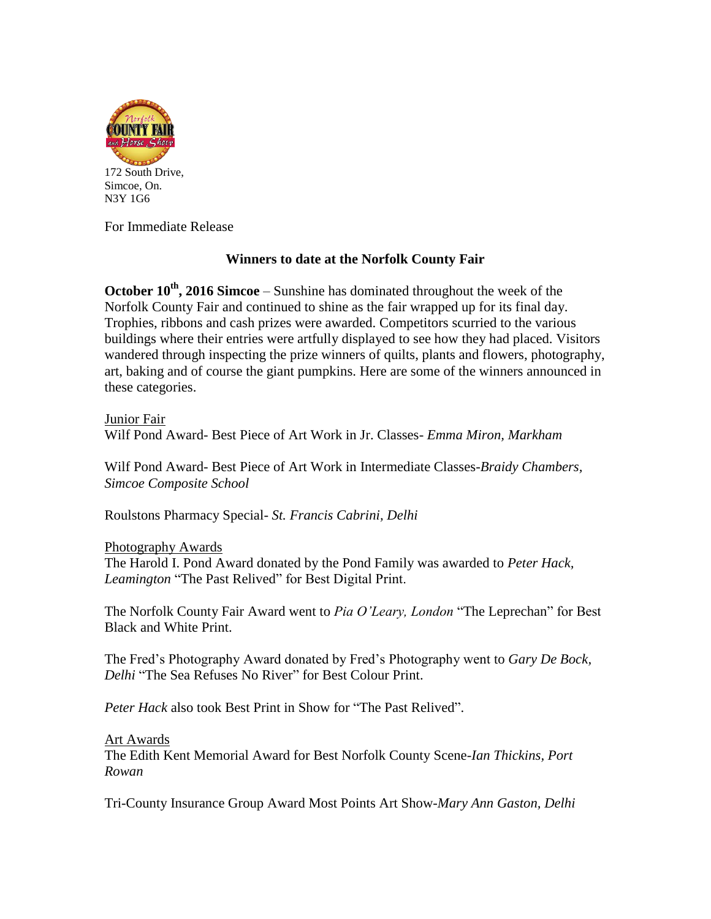

Simcoe, On. N3Y 1G6

For Immediate Release

# **Winners to date at the Norfolk County Fair**

**October 10th , 2016 Simcoe** – Sunshine has dominated throughout the week of the Norfolk County Fair and continued to shine as the fair wrapped up for its final day. Trophies, ribbons and cash prizes were awarded. Competitors scurried to the various buildings where their entries were artfully displayed to see how they had placed. Visitors wandered through inspecting the prize winners of quilts, plants and flowers, photography, art, baking and of course the giant pumpkins. Here are some of the winners announced in these categories.

Junior Fair Wilf Pond Award- Best Piece of Art Work in Jr. Classes- *Emma Miron, Markham*

Wilf Pond Award- Best Piece of Art Work in Intermediate Classes-*Braidy Chambers, Simcoe Composite School*

Roulstons Pharmacy Special*- St. Francis Cabrini, Delhi*

Photography Awards

The Harold I. Pond Award donated by the Pond Family was awarded to *Peter Hack, Leamington* "The Past Relived" for Best Digital Print.

The Norfolk County Fair Award went to *Pia O'Leary, London* "The Leprechan" for Best Black and White Print.

The Fred's Photography Award donated by Fred's Photography went to *Gary De Bock, Delhi* "The Sea Refuses No River" for Best Colour Print.

*Peter Hack* also took Best Print in Show for "The Past Relived".

## Art Awards

The Edith Kent Memorial Award for Best Norfolk County Scene-*Ian Thickins, Port Rowan*

Tri-County Insurance Group Award Most Points Art Show-*Mary Ann Gaston, Delhi*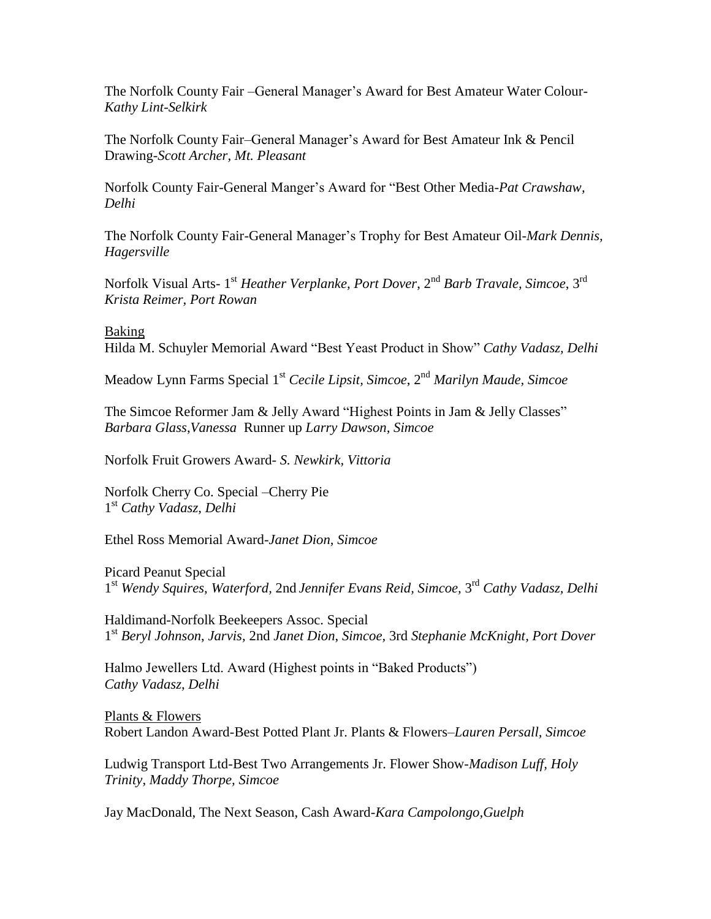The Norfolk County Fair –General Manager's Award for Best Amateur Water Colour-*Kathy Lint-Selkirk*

The Norfolk County Fair–General Manager's Award for Best Amateur Ink & Pencil Drawing-*Scott Archer, Mt. Pleasant*

Norfolk County Fair-General Manger's Award for "Best Other Media-*Pat Crawshaw, Delhi*

The Norfolk County Fair-General Manager's Trophy for Best Amateur Oil-*Mark Dennis, Hagersville*

Norfolk Visual Arts- 1<sup>st</sup> Heather Verplanke, Port Dover, 2<sup>nd</sup> Barb Travale, Simcoe, 3<sup>rd</sup> *Krista Reimer, Port Rowan*

Baking

Hilda M. Schuyler Memorial Award "Best Yeast Product in Show" *Cathy Vadasz, Delhi*

Meadow Lynn Farms Special 1st *Cecile Lipsit, Simcoe*, 2 nd *Marilyn Maude, Simcoe*

The Simcoe Reformer Jam & Jelly Award "Highest Points in Jam & Jelly Classes" *Barbara Glass*,*Vanessa* Runner up *Larry Dawson, Simcoe*

Norfolk Fruit Growers Award*- S. Newkirk, Vittoria*

Norfolk Cherry Co. Special –Cherry Pie 1 st *Cathy Vadasz*, *Delhi*

Ethel Ross Memorial Award-*Janet Dion, Simcoe*

Picard Peanut Special 1 st *Wendy Squires*, *Waterford,* 2nd *Jennifer Evans Reid, Simcoe,* 3 rd *Cathy Vadasz, Delhi*

Haldimand-Norfolk Beekeepers Assoc. Special 1 st *Beryl Johnson*, *Jarvis,* 2nd *Janet Dion*, *Simcoe,* 3rd *Stephanie McKnight, Port Dover*

Halmo Jewellers Ltd. Award (Highest points in "Baked Products") *Cathy Vadasz, Delhi*

Plants & Flowers Robert Landon Award-Best Potted Plant Jr. Plants & Flowers–*Lauren Persall, Simcoe*

Ludwig Transport Ltd-Best Two Arrangements Jr. Flower Show-*Madison Luff, Holy Trinity, Maddy Thorpe, Simcoe*

Jay MacDonald, The Next Season, Cash Award-*Kara Campolongo,Guelph*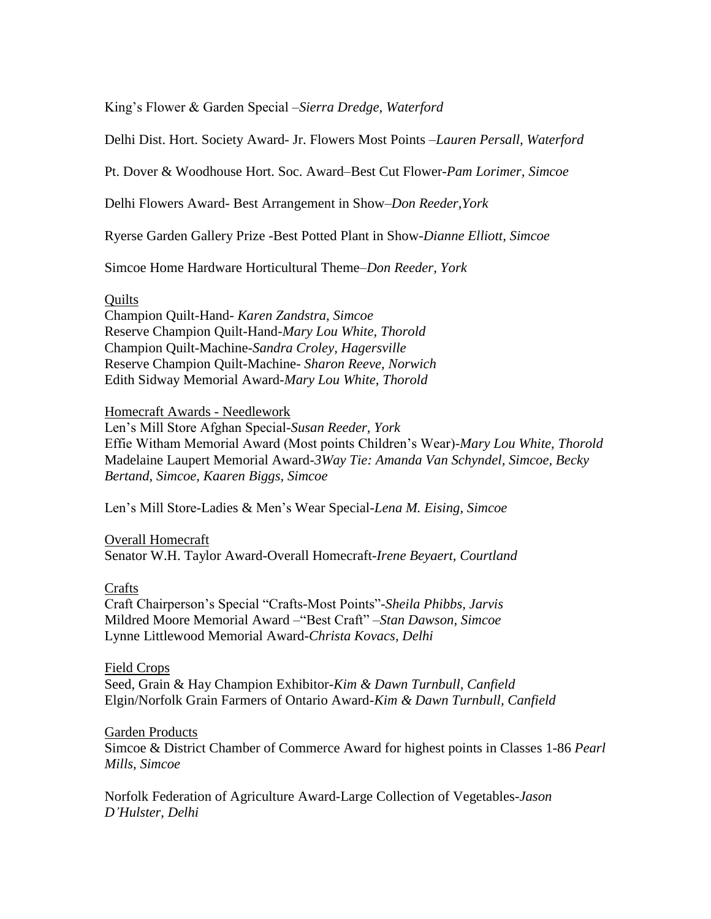King's Flower & Garden Special –*Sierra Dredge, Waterford*

Delhi Dist. Hort. Society Award- Jr. Flowers Most Points –*Lauren Persall, Waterford*

Pt. Dover & Woodhouse Hort. Soc. Award–Best Cut Flower-*Pam Lorimer, Simcoe*

Delhi Flowers Award- Best Arrangement in Show–*Don Reeder,York*

Ryerse Garden Gallery Prize -Best Potted Plant in Show-*Dianne Elliott, Simcoe*

Simcoe Home Hardware Horticultural Theme–*Don Reeder, York*

### **Ouilts**

Champion Quilt-Hand- *Karen Zandstra, Simcoe* Reserve Champion Quilt-Hand-*Mary Lou White, Thorold* Champion Quilt-Machine*-Sandra Croley, Hagersville* Reserve Champion Quilt-Machine*- Sharon Reeve, Norwich* Edith Sidway Memorial Award-*Mary Lou White, Thorold*

### Homecraft Awards - Needlework

Len's Mill Store Afghan Special-*Susan Reeder, York* Effie Witham Memorial Award (Most points Children's Wear)-*Mary Lou White, Thorold* Madelaine Laupert Memorial Award-*3Way Tie: Amanda Van Schyndel, Simcoe, Becky Bertand, Simcoe, Kaaren Biggs, Simcoe*

Len's Mill Store-Ladies & Men's Wear Special-*Lena M. Eising, Simcoe*

### Overall Homecraft

Senator W.H. Taylor Award-Overall Homecraft-*Irene Beyaert, Courtland*

## Crafts

Craft Chairperson's Special "Crafts-Most Points"-*Sheila Phibbs, Jarvis* Mildred Moore Memorial Award –"Best Craft" –*Stan Dawson, Simcoe* Lynne Littlewood Memorial Award-*Christa Kovacs, Delhi*

### Field Crops

Seed, Grain & Hay Champion Exhibitor*-Kim & Dawn Turnbull, Canfield* Elgin/Norfolk Grain Farmers of Ontario Award*-Kim & Dawn Turnbull, Canfield*

## Garden Products

Simcoe & District Chamber of Commerce Award for highest points in Classes 1-86 *Pearl Mills, Simcoe*

Norfolk Federation of Agriculture Award-Large Collection of Vegetables-*Jason D'Hulster, Delhi*